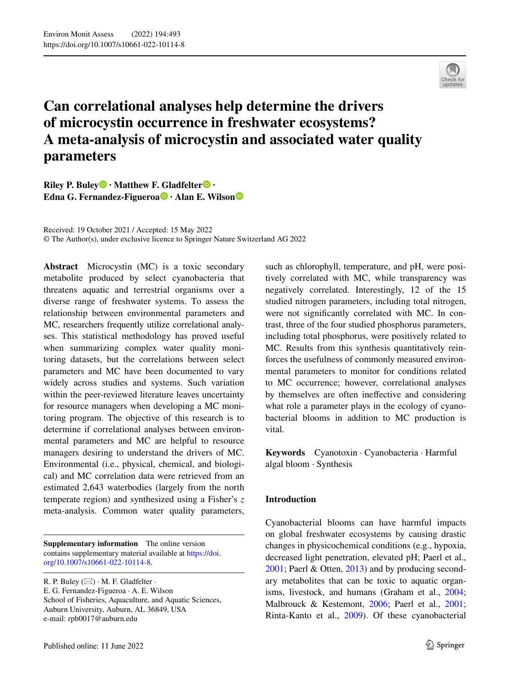

# **Can correlational analyses help determine the drivers of microcystin occurrence in freshwater ecosystems? A meta‑analysis of microcystin and associated water quality parameters**

**Riley P. Buley · Matthew F[. Gl](http://orcid.org/0000-0002-0055-3313)adfelter · Edna G. Fernandez‑Figueroa · Alan E. Wilso[n](http://orcid.org/0000-0003-1080-0354)**

Received: 19 October 2021 / Accepted: 15 May 2022 © The Author(s), under exclusive licence to Springer Nature Switzerland AG 2022

**Abstract** Microcystin (MC) is a toxic secondary metabolite produced by select cyanobacteria that threatens aquatic and terrestrial organisms over a diverse range of freshwater systems. To assess the relationship between environmental parameters and MC, researchers frequently utilize correlational analyses. This statistical methodology has proved useful when summarizing complex water quality monitoring datasets, but the correlations between select parameters and MC have been documented to vary widely across studies and systems. Such variation within the peer-reviewed literature leaves uncertainty for resource managers when developing a MC monitoring program. The objective of this research is to determine if correlational analyses between environmental parameters and MC are helpful to resource managers desiring to understand the drivers of MC. Environmental (i.e., physical, chemical, and biological) and MC correlation data were retrieved from an estimated 2,643 waterbodies (largely from the north temperate region) and synthesized using a Fisher's *z* meta-analysis. Common water quality parameters,

**Supplementary information** The online version contains supplementary material available at [https://doi.](https://doi.org/10.1007/s10661-022-10114-8) [org/10.1007/s10661-022-10114-8.](https://doi.org/10.1007/s10661-022-10114-8)

R. P. Buley  $(\boxtimes) \cdot M$ . F. Gladfelter  $\cdot$ 

E. G. Fernandez-Figueroa · A. E. Wilson School of Fisheries, Aquaculture, and Aquatic Sciences, Auburn University, Auburn, AL 36849, USA e-mail: rpb0017@auburn.edu

such as chlorophyll, temperature, and pH, were positively correlated with MC, while transparency was negatively correlated. Interestingly, 12 of the 15 studied nitrogen parameters, including total nitrogen, were not signifcantly correlated with MC. In contrast, three of the four studied phosphorus parameters, including total phosphorus, were positively related to MC. Results from this synthesis quantitatively reinforces the usefulness of commonly measured environmental parameters to monitor for conditions related to MC occurrence; however, correlational analyses by themselves are often inefective and considering what role a parameter plays in the ecology of cyanobacterial blooms in addition to MC production is vital.

**Keywords** Cyanotoxin · Cyanobacteria · Harmful algal bloom · Synthesis

# **Introduction**

Cyanobacterial blooms can have harmful impacts on global freshwater ecosystems by causing drastic changes in physicochemical conditions (e.g., hypoxia, decreased light penetration, elevated pH; Paerl et al., [2001;](#page-13-0) Paerl & Otten, [2013\)](#page-14-0) and by producing secondary metabolites that can be toxic to aquatic organisms, livestock, and humans (Graham et al., [2004;](#page-12-0) Malbrouck & Kestemont, [2006](#page-13-1); Paerl et al., [2001;](#page-13-0) Rinta-Kanto et al., [2009](#page-14-1)). Of these cyanobacterial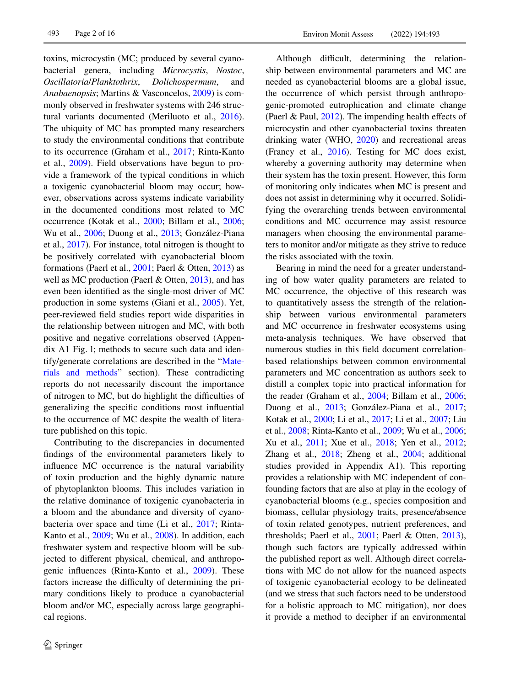toxins, microcystin (MC; produced by several cyanobacterial genera, including *Microcystis*, *Nostoc*, *Oscillatoria*/*Planktothrix*, *Dolichospermum*, and *Anabaenopsis*; Martins & Vasconcelos, [2009\)](#page-13-2) is commonly observed in freshwater systems with 246 structural variants documented (Meriluoto et al., [2016](#page-13-3)). The ubiquity of MC has prompted many researchers to study the environmental conditions that contribute to its occurrence (Graham et al., [2017](#page-12-1); Rinta-Kanto et al., [2009](#page-14-1)). Field observations have begun to provide a framework of the typical conditions in which a toxigenic cyanobacterial bloom may occur; however, observations across systems indicate variability in the documented conditions most related to MC occurrence (Kotak et al., [2000;](#page-13-4) Billam et al., [2006](#page-11-0); Wu et al., [2006](#page-15-0); Duong et al., [2013;](#page-12-2) González-Piana et al., [2017\)](#page-12-3). For instance, total nitrogen is thought to be positively correlated with cyanobacterial bloom formations (Paerl et al., [2001;](#page-13-0) Paerl & Otten, [2013](#page-14-0)) as well as MC production (Paerl & Otten, [2013\)](#page-14-0), and has even been identifed as the single-most driver of MC production in some systems (Giani et al., [2005](#page-12-4)). Yet, peer-reviewed feld studies report wide disparities in the relationship between nitrogen and MC, with both positive and negative correlations observed (Appendix A1 Fig. l; methods to secure such data and identify/generate correlations are described in the ["Mate](#page-2-0)[rials and methods](#page-2-0)" section). These contradicting reports do not necessarily discount the importance of nitrogen to MC, but do highlight the difficulties of generalizing the specifc conditions most infuential to the occurrence of MC despite the wealth of literature published on this topic.

Contributing to the discrepancies in documented fndings of the environmental parameters likely to infuence MC occurrence is the natural variability of toxin production and the highly dynamic nature of phytoplankton blooms. This includes variation in the relative dominance of toxigenic cyanobacteria in a bloom and the abundance and diversity of cyanobacteria over space and time (Li et al., [2017;](#page-13-5) Rinta-Kanto et al., [2009;](#page-14-1) Wu et al., [2008](#page-15-1)). In addition, each freshwater system and respective bloom will be subjected to diferent physical, chemical, and anthropogenic infuences (Rinta-Kanto et al., [2009](#page-14-1)). These factors increase the difficulty of determining the primary conditions likely to produce a cyanobacterial bloom and/or MC, especially across large geographical regions.

Although difficult, determining the relationship between environmental parameters and MC are needed as cyanobacterial blooms are a global issue, the occurrence of which persist through anthropogenic-promoted eutrophication and climate change (Paerl & Paul,  $2012$ ). The impending health effects of microcystin and other cyanobacterial toxins threaten drinking water (WHO, [2020\)](#page-15-2) and recreational areas (Francy et al., [2016\)](#page-12-5). Testing for MC does exist, whereby a governing authority may determine when their system has the toxin present. However, this form of monitoring only indicates when MC is present and does not assist in determining why it occurred. Solidifying the overarching trends between environmental conditions and MC occurrence may assist resource managers when choosing the environmental parameters to monitor and/or mitigate as they strive to reduce the risks associated with the toxin.

Bearing in mind the need for a greater understanding of how water quality parameters are related to MC occurrence, the objective of this research was to quantitatively assess the strength of the relationship between various environmental parameters and MC occurrence in freshwater ecosystems using meta-analysis techniques. We have observed that numerous studies in this feld document correlationbased relationships between common environmental parameters and MC concentration as authors seek to distill a complex topic into practical information for the reader (Graham et al., [2004](#page-12-0); Billam et al., [2006;](#page-11-0) Duong et al., [2013;](#page-12-2) González-Piana et al., [2017;](#page-12-3) Kotak et al., [2000;](#page-13-4) Li et al., [2017;](#page-13-5) Li et al., [2007;](#page-13-6) Liu et al., [2008](#page-13-7); Rinta-Kanto et al., [2009](#page-14-1); Wu et al., [2006;](#page-15-0) Xu et al., [2011](#page-15-3); Xue et al., [2018](#page-15-4); Yen et al., [2012;](#page-15-5) Zhang et al., [2018;](#page-15-6) Zheng et al., [2004;](#page-15-7) additional studies provided in Appendix A1). This reporting provides a relationship with MC independent of confounding factors that are also at play in the ecology of cyanobacterial blooms (e.g., species composition and biomass, cellular physiology traits, presence/absence of toxin related genotypes, nutrient preferences, and thresholds; Paerl et al., [2001;](#page-13-0) Paerl & Otten, [2013](#page-14-0)), though such factors are typically addressed within the published report as well. Although direct correlations with MC do not allow for the nuanced aspects of toxigenic cyanobacterial ecology to be delineated (and we stress that such factors need to be understood for a holistic approach to MC mitigation), nor does it provide a method to decipher if an environmental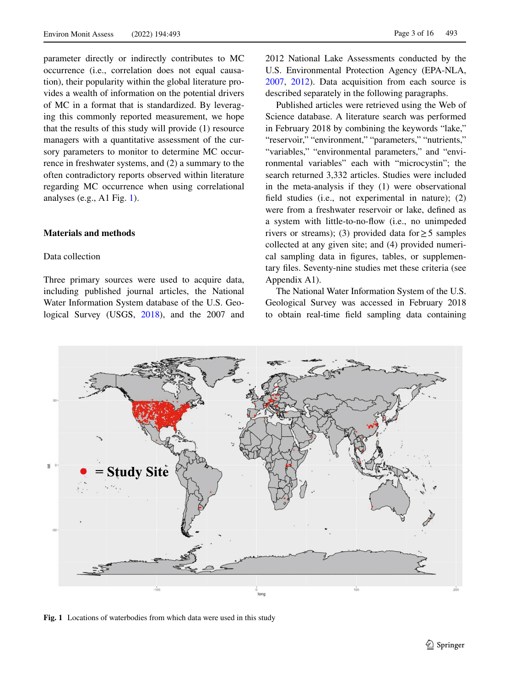parameter directly or indirectly contributes to MC occurrence (i.e., correlation does not equal causation), their popularity within the global literature provides a wealth of information on the potential drivers of MC in a format that is standardized. By leveraging this commonly reported measurement, we hope that the results of this study will provide (1) resource managers with a quantitative assessment of the cursory parameters to monitor to determine MC occurrence in freshwater systems, and (2) a summary to the often contradictory reports observed within literature regarding MC occurrence when using correlational analyses (e.g., A1 Fig. [1\)](#page-2-1).

# <span id="page-2-0"></span>**Materials and methods**

## Data collection

Three primary sources were used to acquire data, including published journal articles, the National Water Information System database of the U.S. Geological Survey (USGS, [2018](#page-14-3)), and the 2007 and 2012 National Lake Assessments conducted by the U.S. Environmental Protection Agency (EPA-NLA, [2007,](#page-12-6) [2012](#page-12-7)). Data acquisition from each source is described separately in the following paragraphs.

Published articles were retrieved using the Web of Science database. A literature search was performed in February 2018 by combining the keywords "lake," "reservoir," "environment," "parameters," "nutrients," "variables," "environmental parameters," and "environmental variables" each with "microcystin"; the search returned 3,332 articles. Studies were included in the meta-analysis if they (1) were observational feld studies (i.e., not experimental in nature); (2) were from a freshwater reservoir or lake, defned as a system with little-to-no-fow (i.e., no unimpeded rivers or streams); (3) provided data for  $\geq$  5 samples collected at any given site; and (4) provided numerical sampling data in fgures, tables, or supplementary fles. Seventy-nine studies met these criteria (see Appendix A1).

The National Water Information System of the U.S. Geological Survey was accessed in February 2018 to obtain real-time feld sampling data containing



<span id="page-2-1"></span>**Fig. 1** Locations of waterbodies from which data were used in this study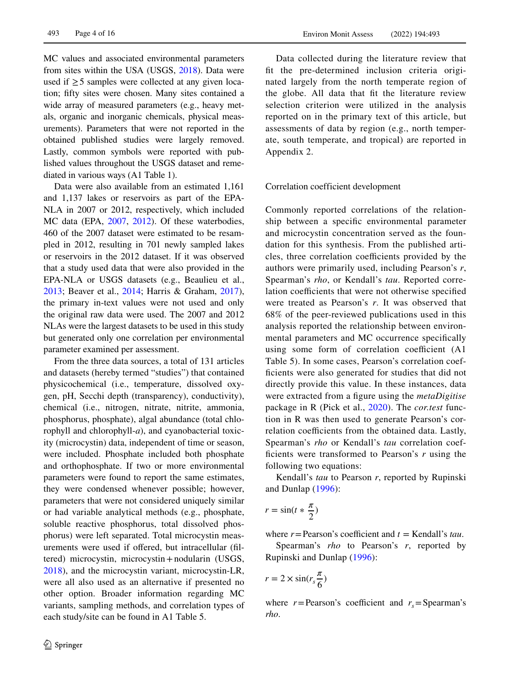MC values and associated environmental parameters from sites within the USA (USGS, [2018\)](#page-14-3). Data were used if  $\geq$  5 samples were collected at any given location; ffty sites were chosen. Many sites contained a wide array of measured parameters (e.g., heavy metals, organic and inorganic chemicals, physical measurements). Parameters that were not reported in the obtained published studies were largely removed. Lastly, common symbols were reported with published values throughout the USGS dataset and remediated in various ways (A1 Table 1).

Data were also available from an estimated 1,161 and 1,137 lakes or reservoirs as part of the EPA-NLA in 2007 or 2012, respectively, which included MC data (EPA, [2007,](#page-12-6) [2012](#page-12-7)). Of these waterbodies, 460 of the 2007 dataset were estimated to be resampled in 2012, resulting in 701 newly sampled lakes or reservoirs in the 2012 dataset. If it was observed that a study used data that were also provided in the EPA-NLA or USGS datasets (e.g., Beaulieu et al., [2013;](#page-11-1) Beaver et al., [2014](#page-11-2); Harris & Graham, [2017](#page-12-8)), the primary in-text values were not used and only the original raw data were used. The 2007 and 2012 NLAs were the largest datasets to be used in this study but generated only one correlation per environmental parameter examined per assessment.

From the three data sources, a total of 131 articles and datasets (hereby termed "studies") that contained physicochemical (i.e., temperature, dissolved oxygen, pH, Secchi depth (transparency), conductivity), chemical (i.e., nitrogen, nitrate, nitrite, ammonia, phosphorus, phosphate), algal abundance (total chlorophyll and chlorophyll-*a*), and cyanobacterial toxicity (microcystin) data, independent of time or season, were included. Phosphate included both phosphate and orthophosphate. If two or more environmental parameters were found to report the same estimates, they were condensed whenever possible; however, parameters that were not considered uniquely similar or had variable analytical methods (e.g., phosphate, soluble reactive phosphorus, total dissolved phosphorus) were left separated. Total microcystin measurements were used if ofered, but intracellular (fltered) microcystin, microcystin+nodularin (USGS, [2018\)](#page-14-3), and the microcystin variant, microcystin-LR, were all also used as an alternative if presented no other option. Broader information regarding MC variants, sampling methods, and correlation types of each study/site can be found in A1 Table 5.

Data collected during the literature review that ft the pre-determined inclusion criteria originated largely from the north temperate region of the globe. All data that fit the literature review selection criterion were utilized in the analysis reported on in the primary text of this article, but assessments of data by region (e.g., north temperate, south temperate, and tropical) are reported in Appendix 2.

Correlation coefficient development

Commonly reported correlations of the relationship between a specifc environmental parameter and microcystin concentration served as the foundation for this synthesis. From the published articles, three correlation coefficients provided by the authors were primarily used, including Pearson's *r*, Spearman's *rho*, or Kendall's *tau*. Reported correlation coefficients that were not otherwise specified were treated as Pearson's *r*. It was observed that 68% of the peer-reviewed publications used in this analysis reported the relationship between environmental parameters and MC occurrence specifcally using some form of correlation coefficient (A1 Table 5). In some cases, Pearson's correlation coeffcients were also generated for studies that did not directly provide this value. In these instances, data were extracted from a fgure using the *metaDigitise* package in R (Pick et al., [2020](#page-14-4)). The *cor.test* function in R was then used to generate Pearson's correlation coefficients from the obtained data. Lastly, Spearman's *rho* or Kendall's *tau* correlation coeffcients were transformed to Pearson's *r* using the following two equations:

Kendall's *tau* to Pearson *r*, reported by Rupinski and Dunlap ([1996](#page-14-5)):

$$
r = \sin(t * \frac{\pi}{2})
$$

where  $r =$  Pearson's coefficient and  $t =$  Kendall's *tau*.

Spearman's *rho* to Pearson's *r*, reported by Rupinski and Dunlap ([1996](#page-14-5)):

$$
r = 2 \times \sin(r_s \frac{\pi}{6})
$$

where  $r =$ Pearson's coefficient and  $r<sub>s</sub>$  = Spearman's *rho*.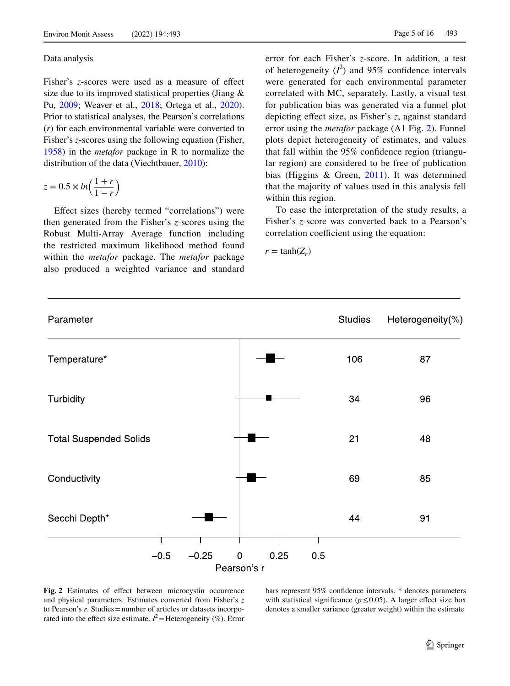#### Data analysis

Fisher's *z*-scores were used as a measure of effect size due to its improved statistical properties (Jiang & Pu, [2009;](#page-13-8) Weaver et al., [2018](#page-14-6); Ortega et al., [2020](#page-13-9)). Prior to statistical analyses, the Pearson's correlations (*r*) for each environmental variable were converted to Fisher's *z*-scores using the following equation (Fisher, [1958\)](#page-12-9) in the *metafor* package in R to normalize the distribution of the data (Viechtbauer, [2010\)](#page-14-7):

$$
z = 0.5 \times \ln\left(\frac{1+r}{1-r}\right)
$$

Efect sizes (hereby termed "correlations") were then generated from the Fisher's *z*-scores using the Robust Multi-Array Average function including the restricted maximum likelihood method found within the *metafor* package. The *metafor* package also produced a weighted variance and standard error for each Fisher's *z*-score. In addition, a test of heterogeneity  $(I^2)$  and 95% confidence intervals were generated for each environmental parameter correlated with MC, separately. Lastly, a visual test for publication bias was generated via a funnel plot depicting efect size, as Fisher's *z*, against standard error using the *metafor* package (A1 Fig. [2\)](#page-4-0). Funnel plots depict heterogeneity of estimates, and values that fall within the 95% confdence region (triangular region) are considered to be free of publication bias (Higgins & Green, [2011](#page-12-10)). It was determined that the majority of values used in this analysis fell within this region.

To ease the interpretation of the study results, a Fisher's *z*-score was converted back to a Pearson's correlation coefficient using the equation:

 $r = \tanh(Z_r)$ 



<span id="page-4-0"></span>

bars represent 95% confdence intervals. \* denotes parameters with statistical significance ( $p \le 0.05$ ). A larger effect size box denotes a smaller variance (greater weight) within the estimate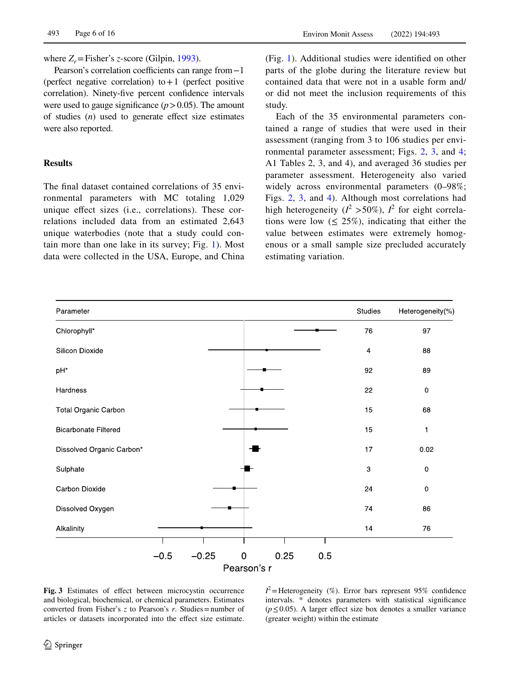where  $Z_r$ =Fisher's *z*-score (Gilpin, [1993](#page-12-11)).

Pearson's correlation coefficients can range from−1 (perfect negative correlation) to  $+1$  (perfect positive correlation). Ninety-fve percent confdence intervals were used to gauge significance  $(p > 0.05)$ . The amount of studies (*n*) used to generate efect size estimates were also reported.

## **Results**

The fnal dataset contained correlations of 35 environmental parameters with MC totaling 1,029 unique efect sizes (i.e., correlations). These correlations included data from an estimated 2,643 unique waterbodies (note that a study could contain more than one lake in its survey; Fig. [1\)](#page-2-1). Most data were collected in the USA, Europe, and China (Fig. [1\)](#page-2-1). Additional studies were identifed on other parts of the globe during the literature review but contained data that were not in a usable form and/ or did not meet the inclusion requirements of this study.

Each of the 35 environmental parameters contained a range of studies that were used in their assessment (ranging from 3 to 106 studies per environmental parameter assessment; Figs. [2](#page-4-0), [3,](#page-5-0) and [4;](#page-6-0) A1 Tables 2, 3, and 4), and averaged 36 studies per parameter assessment. Heterogeneity also varied widely across environmental parameters (0–98%; Figs. [2](#page-4-0), [3,](#page-5-0) and [4](#page-6-0)). Although most correlations had high heterogeneity ( $l^2 > 50\%$ ),  $l^2$  for eight correlations were low  $(\leq 25\%)$ , indicating that either the value between estimates were extremely homogenous or a small sample size precluded accurately estimating variation.



<span id="page-5-0"></span>**Fig. 3** Estimates of efect between microcystin occurrence and biological, biochemical, or chemical parameters. Estimates converted from Fisher's *z* to Pearson's *r*. Studies=number of articles or datasets incorporated into the efect size estimate.

 $I^2$  = Heterogeneity (%). Error bars represent 95% confidence intervals. \* denotes parameters with statistical signifcance  $(p \le 0.05)$ . A larger effect size box denotes a smaller variance (greater weight) within the estimate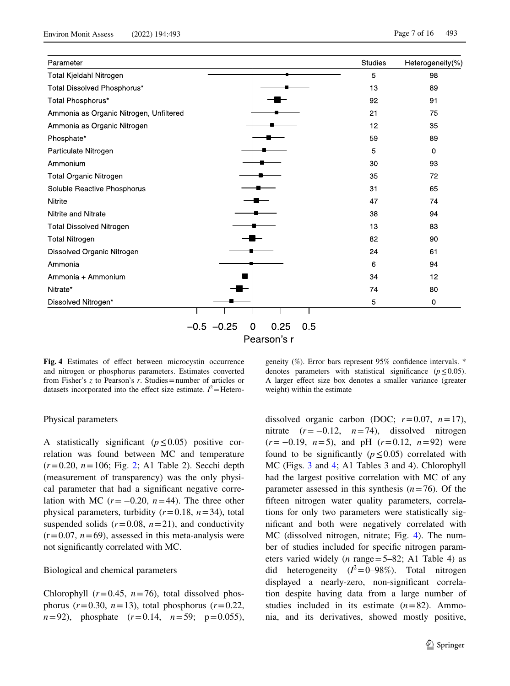| Parameter                               |                                   | <b>Studies</b> | Heterogeneity(%) |
|-----------------------------------------|-----------------------------------|----------------|------------------|
| Total Kjeldahl Nitrogen                 |                                   | 5              | 98               |
| Total Dissolved Phosphorus*             |                                   | 13             | 89               |
| Total Phosphorus*                       |                                   | 92             | 91               |
| Ammonia as Organic Nitrogen, Unfiltered |                                   | 21             | 75               |
| Ammonia as Organic Nitrogen             |                                   | 12             | 35               |
| Phosphate*                              |                                   | 59             | 89               |
| Particulate Nitrogen                    |                                   | 5              | $\mathbf{0}$     |
| Ammonium                                |                                   | 30             | 93               |
| Total Organic Nitrogen                  |                                   | 35             | 72               |
| Soluble Reactive Phosphorus             |                                   | 31             | 65               |
| <b>Nitrite</b>                          |                                   | 47             | 74               |
| Nitrite and Nitrate                     |                                   | 38             | 94               |
| <b>Total Dissolved Nitrogen</b>         |                                   | 13             | 83               |
| <b>Total Nitrogen</b>                   |                                   | 82             | 90               |
| Dissolved Organic Nitrogen              |                                   | 24             | 61               |
| Ammonia                                 |                                   | 6              | 94               |
| Ammonia + Ammonium                      |                                   | 34             | 12               |
| Nitrate*                                |                                   | 74             | 80               |
| Dissolved Nitrogen*                     |                                   | 5              | $\mathbf 0$      |
|                                         | $-0.5 - 0.25$<br>0.25<br>0.5<br>0 |                |                  |
|                                         | Pearson's r                       |                |                  |

<span id="page-6-0"></span>**Fig. 4** Estimates of efect between microcystin occurrence and nitrogen or phosphorus parameters. Estimates converted from Fisher's *z* to Pearson's *r*. Studies=number of articles or datasets incorporated into the effect size estimate.  $I^2$  = Hetero-

geneity (%). Error bars represent 95% confdence intervals. \* denotes parameters with statistical significance  $(p \le 0.05)$ . A larger efect size box denotes a smaller variance (greater weight) within the estimate

#### Physical parameters

A statistically signifcant (*p*≤0.05) positive correlation was found between MC and temperature (*r*=0.20, *n*=106; Fig. [2](#page-4-0); A1 Table 2). Secchi depth (measurement of transparency) was the only physical parameter that had a signifcant negative correlation with MC  $(r = -0.20, n = 44)$ . The three other physical parameters, turbidity (*r*=0.18, *n*=34), total suspended solids  $(r=0.08, n=21)$ , and conductivity  $(r=0.07, n=69)$ , assessed in this meta-analysis were not signifcantly correlated with MC.

#### Biological and chemical parameters

Chlorophyll  $(r=0.45, n=76)$ , total dissolved phosphorus  $(r=0.30, n=13)$ , total phosphorus  $(r=0.22,$ *n*=92), phosphate (*r*=0.14, *n*=59; p=0.055), dissolved organic carbon (DOC;  $r=0.07$ ,  $n=17$ ), nitrate  $(r = -0.12, n = 74)$ , dissolved nitrogen (*r*= −0.19, *n*=5), and pH (*r*=0.12, *n*=92) were found to be significantly ( $p \le 0.05$ ) correlated with MC (Figs. [3](#page-5-0) and [4](#page-6-0); A1 Tables 3 and 4). Chlorophyll had the largest positive correlation with MC of any parameter assessed in this synthesis (*n*=76). Of the ffteen nitrogen water quality parameters, correlations for only two parameters were statistically signifcant and both were negatively correlated with MC (dissolved nitrogen, nitrate; Fig. [4\)](#page-6-0). The number of studies included for specifc nitrogen parameters varied widely (*n* range=5–82; A1 Table 4) as did heterogeneity  $(l^2=0-98\%)$ . Total nitrogen displayed a nearly-zero, non-signifcant correlation despite having data from a large number of studies included in its estimate  $(n=82)$ . Ammonia, and its derivatives, showed mostly positive,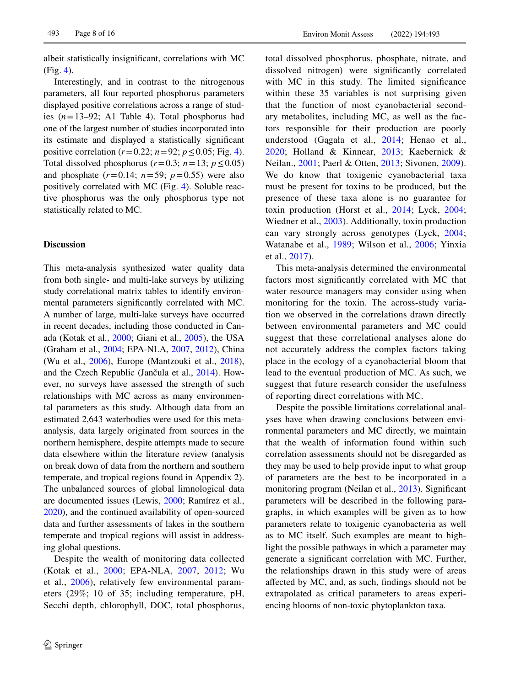albeit statistically insignifcant, correlations with MC (Fig. [4](#page-6-0)).

Interestingly, and in contrast to the nitrogenous parameters, all four reported phosphorus parameters displayed positive correlations across a range of studies  $(n=13-92;$  A1 Table 4). Total phosphorus had one of the largest number of studies incorporated into its estimate and displayed a statistically signifcant positive correlation ( $r = 0.22$ ;  $n = 92$ ;  $p \le 0.05$ ; Fig. [4](#page-6-0)). Total dissolved phosphorus ( $r=0.3$ ;  $n=13$ ;  $p \le 0.05$ ) and phosphate  $(r=0.14; n=59; p=0.55)$  were also positively correlated with MC (Fig. [4](#page-6-0)). Soluble reactive phosphorus was the only phosphorus type not statistically related to MC.

## **Discussion**

This meta-analysis synthesized water quality data from both single- and multi-lake surveys by utilizing study correlational matrix tables to identify environmental parameters signifcantly correlated with MC. A number of large, multi-lake surveys have occurred in recent decades, including those conducted in Canada (Kotak et al., [2000;](#page-13-4) Giani et al., [2005\)](#page-12-4), the USA (Graham et al., [2004;](#page-12-0) EPA-NLA, [2007,](#page-12-6) [2012](#page-12-7)), China (Wu et al., [2006\)](#page-15-0), Europe (Mantzouki et al., [2018](#page-13-10)), and the Czech Republic (Jančula et al., [2014\)](#page-13-11). However, no surveys have assessed the strength of such relationships with MC across as many environmental parameters as this study. Although data from an estimated 2,643 waterbodies were used for this metaanalysis, data largely originated from sources in the northern hemisphere, despite attempts made to secure data elsewhere within the literature review (analysis on break down of data from the northern and southern temperate, and tropical regions found in Appendix 2). The unbalanced sources of global limnological data are documented issues (Lewis, [2000;](#page-13-12) Ramírez et al., [2020\)](#page-14-8), and the continued availability of open-sourced data and further assessments of lakes in the southern temperate and tropical regions will assist in addressing global questions.

Despite the wealth of monitoring data collected (Kotak et al., [2000;](#page-13-4) EPA-NLA, [2007](#page-12-6), [2012;](#page-12-7) Wu et al., [2006](#page-15-0)), relatively few environmental parameters (29%; 10 of 35; including temperature, pH, Secchi depth, chlorophyll, DOC, total phosphorus, total dissolved phosphorus, phosphate, nitrate, and dissolved nitrogen) were signifcantly correlated with MC in this study. The limited significance within these 35 variables is not surprising given that the function of most cyanobacterial secondary metabolites, including MC, as well as the factors responsible for their production are poorly understood (Gągała et al., [2014;](#page-12-12) Henao et al., [2020](#page-12-13); Holland & Kinnear, [2013;](#page-12-14) Kaebernick & Neilan., [2001;](#page-13-13) Paerl & Otten, [2013](#page-14-0); Sivonen, [2009](#page-14-9)). We do know that toxigenic cyanobacterial taxa must be present for toxins to be produced, but the presence of these taxa alone is no guarantee for toxin production (Horst et al., [2014](#page-12-15); Lyck, [2004;](#page-13-14) Wiedner et al., [2003\)](#page-14-10). Additionally, toxin production can vary strongly across genotypes (Lyck, [2004;](#page-13-14) Watanabe et al., [1989;](#page-14-11) Wilson et al., [2006;](#page-15-8) Yinxia et al., [2017\)](#page-15-9).

This meta-analysis determined the environmental factors most signifcantly correlated with MC that water resource managers may consider using when monitoring for the toxin. The across-study variation we observed in the correlations drawn directly between environmental parameters and MC could suggest that these correlational analyses alone do not accurately address the complex factors taking place in the ecology of a cyanobacterial bloom that lead to the eventual production of MC. As such, we suggest that future research consider the usefulness of reporting direct correlations with MC.

Despite the possible limitations correlational analyses have when drawing conclusions between environmental parameters and MC directly, we maintain that the wealth of information found within such correlation assessments should not be disregarded as they may be used to help provide input to what group of parameters are the best to be incorporated in a monitoring program (Neilan et al., [2013\)](#page-13-15). Signifcant parameters will be described in the following paragraphs, in which examples will be given as to how parameters relate to toxigenic cyanobacteria as well as to MC itself. Such examples are meant to highlight the possible pathways in which a parameter may generate a signifcant correlation with MC. Further, the relationships drawn in this study were of areas afected by MC, and, as such, fndings should not be extrapolated as critical parameters to areas experiencing blooms of non-toxic phytoplankton taxa.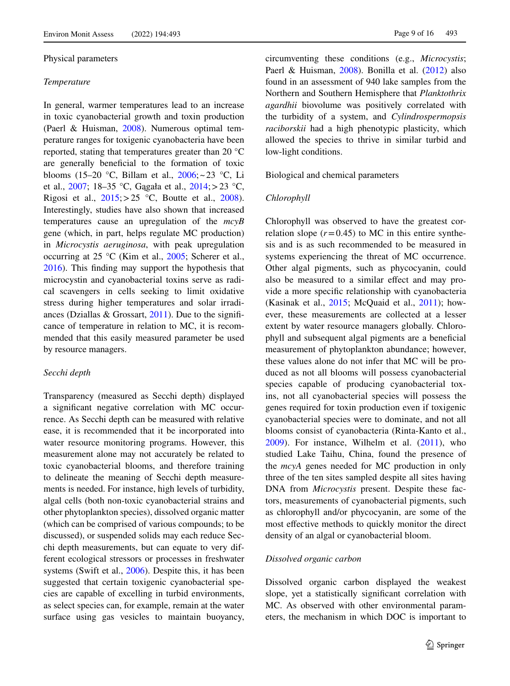#### Physical parameters

#### *Temperature*

In general, warmer temperatures lead to an increase in toxic cyanobacterial growth and toxin production (Paerl & Huisman, [2008](#page-13-16)). Numerous optimal temperature ranges for toxigenic cyanobacteria have been reported, stating that temperatures greater than 20 °C are generally benefcial to the formation of toxic blooms (15–20 °C, Billam et al.,  $2006$ ; ~23 °C, Li et al., [2007](#page-13-6); 18–35 °C, Gągała et al., [2014](#page-12-12);>23 °C, Rigosi et al.,  $2015$ ;  $> 25$  °C, Boutte et al., [2008](#page-12-16)). Interestingly, studies have also shown that increased temperatures cause an upregulation of the *mcyB* gene (which, in part, helps regulate MC production) in *Microcystis aeruginosa*, with peak upregulation occurring at 25 °C (Kim et al., [2005;](#page-13-17) Scherer et al., [2016\)](#page-14-13). This fnding may support the hypothesis that microcystin and cyanobacterial toxins serve as radical scavengers in cells seeking to limit oxidative stress during higher temperatures and solar irradiances (Dziallas & Grossart,  $2011$ ). Due to the significance of temperature in relation to MC, it is recommended that this easily measured parameter be used by resource managers.

#### *Secchi depth*

Transparency (measured as Secchi depth) displayed a signifcant negative correlation with MC occurrence. As Secchi depth can be measured with relative ease, it is recommended that it be incorporated into water resource monitoring programs. However, this measurement alone may not accurately be related to toxic cyanobacterial blooms, and therefore training to delineate the meaning of Secchi depth measurements is needed. For instance, high levels of turbidity, algal cells (both non-toxic cyanobacterial strains and other phytoplankton species), dissolved organic matter (which can be comprised of various compounds; to be discussed), or suspended solids may each reduce Secchi depth measurements, but can equate to very different ecological stressors or processes in freshwater systems (Swift et al., [2006](#page-14-14)). Despite this, it has been suggested that certain toxigenic cyanobacterial species are capable of excelling in turbid environments, as select species can, for example, remain at the water surface using gas vesicles to maintain buoyancy, circumventing these conditions (e.g., *Microcystis*; Paerl & Huisman, [2008](#page-13-16)). Bonilla et al. ([2012\)](#page-12-18) also found in an assessment of 940 lake samples from the Northern and Southern Hemisphere that *Planktothrix agardhii* biovolume was positively correlated with the turbidity of a system, and *Cylindrospermopsis raciborskii* had a high phenotypic plasticity, which allowed the species to thrive in similar turbid and low-light conditions.

Biological and chemical parameters

#### *Chlorophyll*

Chlorophyll was observed to have the greatest correlation slope  $(r=0.45)$  to MC in this entire synthesis and is as such recommended to be measured in systems experiencing the threat of MC occurrence. Other algal pigments, such as phycocyanin, could also be measured to a similar efect and may provide a more specifc relationship with cyanobacteria (Kasinak et al.,  $2015$ ; McOuaid et al.,  $2011$ ); however, these measurements are collected at a lesser extent by water resource managers globally. Chlorophyll and subsequent algal pigments are a benefcial measurement of phytoplankton abundance; however, these values alone do not infer that MC will be produced as not all blooms will possess cyanobacterial species capable of producing cyanobacterial toxins, not all cyanobacterial species will possess the genes required for toxin production even if toxigenic cyanobacterial species were to dominate, and not all blooms consist of cyanobacteria (Rinta-Kanto et al.,  $2009$ ). For instance, Wilhelm et al.  $(2011)$  $(2011)$ , who studied Lake Taihu, China, found the presence of the *mcyA* genes needed for MC production in only three of the ten sites sampled despite all sites having DNA from *Microcystis* present. Despite these factors, measurements of cyanobacterial pigments, such as chlorophyll and/or phycocyanin, are some of the most efective methods to quickly monitor the direct density of an algal or cyanobacterial bloom.

### *Dissolved organic carbon*

Dissolved organic carbon displayed the weakest slope, yet a statistically signifcant correlation with MC. As observed with other environmental parameters, the mechanism in which DOC is important to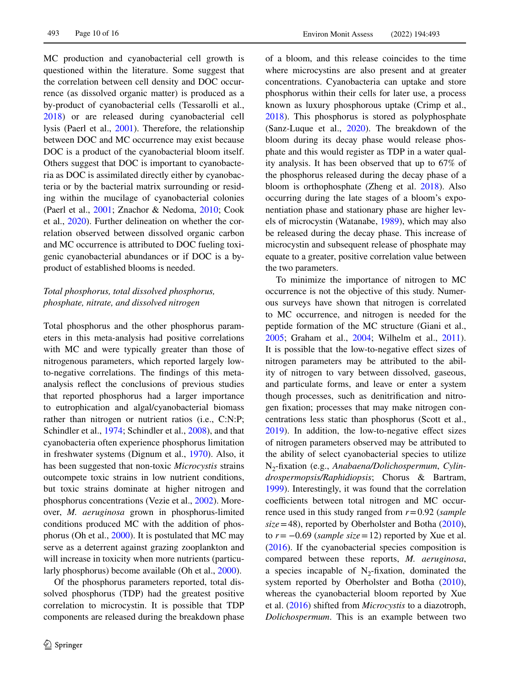MC production and cyanobacterial cell growth is questioned within the literature. Some suggest that the correlation between cell density and DOC occurrence (as dissolved organic matter) is produced as a by-product of cyanobacterial cells (Tessarolli et al., [2018\)](#page-14-16) or are released during cyanobacterial cell lysis (Paerl et al., [2001\)](#page-13-0). Therefore, the relationship between DOC and MC occurrence may exist because DOC is a product of the cyanobacterial bloom itself. Others suggest that DOC is important to cyanobacteria as DOC is assimilated directly either by cyanobacteria or by the bacterial matrix surrounding or residing within the mucilage of cyanobacterial colonies (Paerl et al., [2001](#page-13-0); Znachor & Nedoma, [2010](#page-15-10); Cook et al., [2020\)](#page-12-19). Further delineation on whether the correlation observed between dissolved organic carbon and MC occurrence is attributed to DOC fueling toxigenic cyanobacterial abundances or if DOC is a byproduct of established blooms is needed.

# *Total phosphorus, total dissolved phosphorus, phosphate, nitrate, and dissolved nitrogen*

Total phosphorus and the other phosphorus parameters in this meta-analysis had positive correlations with MC and were typically greater than those of nitrogenous parameters, which reported largely lowto-negative correlations. The fndings of this metaanalysis refect the conclusions of previous studies that reported phosphorus had a larger importance to eutrophication and algal/cyanobacterial biomass rather than nitrogen or nutrient ratios (i.e., C:N:P; Schindler et al., [1974;](#page-14-17) Schindler et al., [2008\)](#page-14-18), and that cyanobacteria often experience phosphorus limitation in freshwater systems (Dignum et al., [1970\)](#page-12-20). Also, it has been suggested that non-toxic *Microcystis* strains outcompete toxic strains in low nutrient conditions, but toxic strains dominate at higher nitrogen and phosphorus concentrations (Vezie et al., [2002\)](#page-14-19). Moreover, *M. aeruginosa* grown in phosphorus-limited conditions produced MC with the addition of phosphorus (Oh et al., [2000](#page-13-20)). It is postulated that MC may serve as a deterrent against grazing zooplankton and will increase in toxicity when more nutrients (particularly phosphorus) become available (Oh et al., [2000\)](#page-13-20).

Of the phosphorus parameters reported, total dissolved phosphorus (TDP) had the greatest positive correlation to microcystin. It is possible that TDP components are released during the breakdown phase of a bloom, and this release coincides to the time where microcystins are also present and at greater concentrations. Cyanobacteria can uptake and store phosphorus within their cells for later use, a process known as luxury phosphorous uptake (Crimp et al., [2018\)](#page-12-21). This phosphorus is stored as polyphosphate (Sanz-Luque et al., [2020](#page-14-20)). The breakdown of the bloom during its decay phase would release phosphate and this would register as TDP in a water quality analysis. It has been observed that up to 67% of the phosphorus released during the decay phase of a bloom is orthophosphate (Zheng et al. [2018](#page-15-6)). Also occurring during the late stages of a bloom's exponentiation phase and stationary phase are higher levels of microcystin (Watanabe, [1989](#page-14-11)), which may also be released during the decay phase. This increase of microcystin and subsequent release of phosphate may equate to a greater, positive correlation value between the two parameters.

To minimize the importance of nitrogen to MC occurrence is not the objective of this study. Numerous surveys have shown that nitrogen is correlated to MC occurrence, and nitrogen is needed for the peptide formation of the MC structure (Giani et al., [2005;](#page-12-4) Graham et al., [2004](#page-12-0); Wilhelm et al., [2011](#page-14-15)). It is possible that the low-to-negative efect sizes of nitrogen parameters may be attributed to the ability of nitrogen to vary between dissolved, gaseous, and particulate forms, and leave or enter a system though processes, such as denitrifcation and nitrogen fxation; processes that may make nitrogen concentrations less static than phosphorus (Scott et al., [2019\)](#page-14-21). In addition, the low-to-negative efect sizes of nitrogen parameters observed may be attributed to the ability of select cyanobacterial species to utilize N2-fxation (e.g., *Anabaena/Dolichospermum*, *Cylindrospermopsis/Raphidiopsis*; Chorus & Bartram, [1999\)](#page-12-22). Interestingly, it was found that the correlation coefficients between total nitrogen and MC occurrence used in this study ranged from *r*=0.92 (*sample size*=48), reported by Oberholster and Botha [\(2010](#page-13-21)), to  $r = -0.69$  (*sample size* = 12) reported by Xue et al. [\(2016](#page-15-11)). If the cyanobacterial species composition is compared between these reports, *M. aeruginosa*, a species incapable of  $N_2$ -fixation, dominated the system reported by Oberholster and Botha [\(2010](#page-13-21)), whereas the cyanobacterial bloom reported by Xue et al. [\(2016](#page-15-11)) shifted from *Microcystis* to a diazotroph, *Dolichospermum*. This is an example between two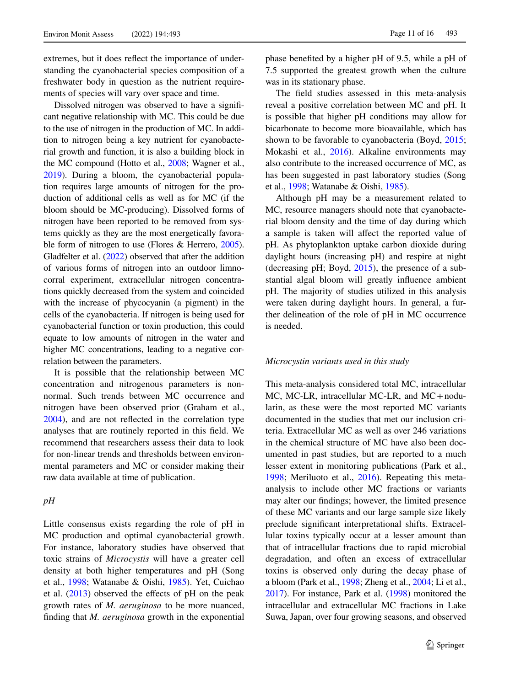extremes, but it does refect the importance of understanding the cyanobacterial species composition of a freshwater body in question as the nutrient requirements of species will vary over space and time.

Dissolved nitrogen was observed to have a signifcant negative relationship with MC. This could be due to the use of nitrogen in the production of MC. In addition to nitrogen being a key nutrient for cyanobacterial growth and function, it is also a building block in the MC compound (Hotto et al., [2008;](#page-13-22) Wagner et al., [2019](#page-14-22)). During a bloom, the cyanobacterial population requires large amounts of nitrogen for the production of additional cells as well as for MC (if the bloom should be MC-producing). Dissolved forms of nitrogen have been reported to be removed from systems quickly as they are the most energetically favorable form of nitrogen to use (Flores & Herrero, [2005](#page-12-23)). Gladfelter et al. ([2022](#page-12-24)) observed that after the addition of various forms of nitrogen into an outdoor limnocorral experiment, extracellular nitrogen concentrations quickly decreased from the system and coincided with the increase of phycocyanin (a pigment) in the cells of the cyanobacteria. If nitrogen is being used for cyanobacterial function or toxin production, this could equate to low amounts of nitrogen in the water and higher MC concentrations, leading to a negative correlation between the parameters.

It is possible that the relationship between MC concentration and nitrogenous parameters is nonnormal. Such trends between MC occurrence and nitrogen have been observed prior (Graham et al., [2004\)](#page-12-0), and are not refected in the correlation type analyses that are routinely reported in this feld. We recommend that researchers assess their data to look for non-linear trends and thresholds between environmental parameters and MC or consider making their raw data available at time of publication.

# *pH*

Little consensus exists regarding the role of pH in MC production and optimal cyanobacterial growth. For instance, laboratory studies have observed that toxic strains of *Microcystis* will have a greater cell density at both higher temperatures and pH (Song et al., [1998;](#page-14-23) Watanabe & Oishi, [1985](#page-14-24)). Yet, Cuichao et al.  $(2013)$  $(2013)$  observed the effects of pH on the peak growth rates of *M. aeruginosa* to be more nuanced, fnding that *M. aeruginosa* growth in the exponential phase benefted by a higher pH of 9.5, while a pH of 7.5 supported the greatest growth when the culture was in its stationary phase.

The feld studies assessed in this meta-analysis reveal a positive correlation between MC and pH. It is possible that higher pH conditions may allow for bicarbonate to become more bioavailable, which has shown to be favorable to cyanobacteria (Boyd, [2015;](#page-12-26) Mokashi et al., [2016](#page-13-23)). Alkaline environments may also contribute to the increased occurrence of MC, as has been suggested in past laboratory studies (Song et al., [1998](#page-14-23); Watanabe & Oishi, [1985](#page-14-24)).

Although pH may be a measurement related to MC, resource managers should note that cyanobacterial bloom density and the time of day during which a sample is taken will affect the reported value of pH. As phytoplankton uptake carbon dioxide during daylight hours (increasing pH) and respire at night (decreasing pH; Boyd, [2015](#page-12-26)), the presence of a substantial algal bloom will greatly infuence ambient pH. The majority of studies utilized in this analysis were taken during daylight hours. In general, a further delineation of the role of pH in MC occurrence is needed.

#### *Microcystin variants used in this study*

This meta-analysis considered total MC, intracellular MC, MC-LR, intracellular MC-LR, and MC+nodularin, as these were the most reported MC variants documented in the studies that met our inclusion criteria. Extracellular MC as well as over 246 variations in the chemical structure of MC have also been documented in past studies, but are reported to a much lesser extent in monitoring publications (Park et al., [1998;](#page-14-25) Meriluoto et al., [2016](#page-13-3)). Repeating this metaanalysis to include other MC fractions or variants may alter our fndings; however, the limited presence of these MC variants and our large sample size likely preclude signifcant interpretational shifts. Extracellular toxins typically occur at a lesser amount than that of intracellular fractions due to rapid microbial degradation, and often an excess of extracellular toxins is observed only during the decay phase of a bloom (Park et al., [1998](#page-14-25); Zheng et al., [2004;](#page-15-7) Li et al., [2017\)](#page-13-5). For instance, Park et al. ([1998](#page-14-25)) monitored the intracellular and extracellular MC fractions in Lake Suwa, Japan, over four growing seasons, and observed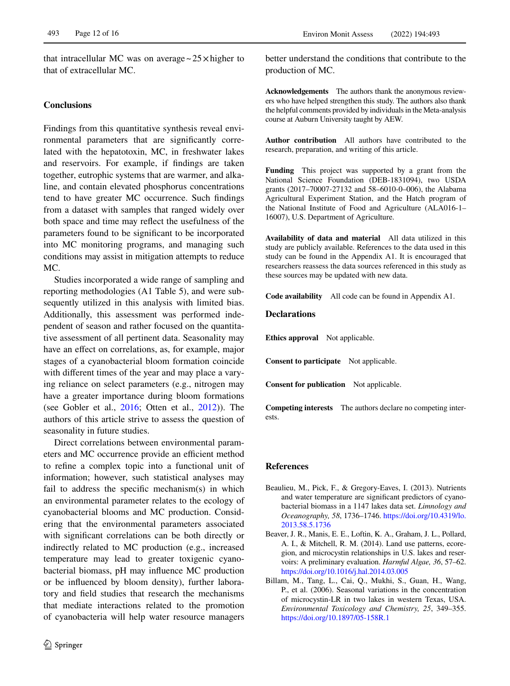that intracellular MC was on average  $\sim$  25 $\times$  higher to that of extracellular MC.

# **Conclusions**

Findings from this quantitative synthesis reveal environmental parameters that are significantly correlated with the hepatotoxin, MC, in freshwater lakes and reservoirs. For example, if fndings are taken together, eutrophic systems that are warmer, and alkaline, and contain elevated phosphorus concentrations tend to have greater MC occurrence. Such fndings from a dataset with samples that ranged widely over both space and time may refect the usefulness of the parameters found to be signifcant to be incorporated into MC monitoring programs, and managing such conditions may assist in mitigation attempts to reduce MC.

Studies incorporated a wide range of sampling and reporting methodologies (A1 Table 5), and were subsequently utilized in this analysis with limited bias. Additionally, this assessment was performed independent of season and rather focused on the quantitative assessment of all pertinent data. Seasonality may have an effect on correlations, as, for example, major stages of a cyanobacterial bloom formation coincide with diferent times of the year and may place a varying reliance on select parameters (e.g., nitrogen may have a greater importance during bloom formations (see Gobler et al.,  $2016$ ; Otten et al.,  $2012$ )). The authors of this article strive to assess the question of seasonality in future studies.

Direct correlations between environmental parameters and MC occurrence provide an efficient method to refne a complex topic into a functional unit of information; however, such statistical analyses may fail to address the specifc mechanism(s) in which an environmental parameter relates to the ecology of cyanobacterial blooms and MC production. Considering that the environmental parameters associated with signifcant correlations can be both directly or indirectly related to MC production (e.g., increased temperature may lead to greater toxigenic cyanobacterial biomass, pH may infuence MC production or be infuenced by bloom density), further laboratory and feld studies that research the mechanisms that mediate interactions related to the promotion of cyanobacteria will help water resource managers

better understand the conditions that contribute to the production of MC.

**Acknowledgements** The authors thank the anonymous reviewers who have helped strengthen this study. The authors also thank the helpful comments provided by individuals in the Meta-analysis course at Auburn University taught by AEW.

**Author contribution** All authors have contributed to the research, preparation, and writing of this article.

**Funding** This project was supported by a grant from the National Science Foundation (DEB-1831094), two USDA grants (2017–70007-27132 and 58–6010-0–006), the Alabama Agricultural Experiment Station, and the Hatch program of the National Institute of Food and Agriculture (ALA016-1– 16007), U.S. Department of Agriculture.

**Availability of data and material** All data utilized in this study are publicly available. References to the data used in this study can be found in the Appendix A1. It is encouraged that researchers reassess the data sources referenced in this study as these sources may be updated with new data.

**Code availability** All code can be found in Appendix A1.

#### **Declarations**

**Ethics approval** Not applicable.

**Consent to participate** Not applicable.

**Consent for publication** Not applicable.

**Competing interests** The authors declare no competing interests.

#### **References**

- <span id="page-11-1"></span>Beaulieu, M., Pick, F., & Gregory-Eaves, I. (2013). Nutrients and water temperature are signifcant predictors of cyanobacterial biomass in a 1147 lakes data set. *Limnology and Oceanography, 58*, 1736–1746. [https://doi.org/10.4319/lo.](https://doi.org/10.4319/lo.2013.58.5.1736) [2013.58.5.1736](https://doi.org/10.4319/lo.2013.58.5.1736)
- <span id="page-11-2"></span>Beaver, J. R., Manis, E. E., Loftin, K. A., Graham, J. L., Pollard, A. I., & Mitchell, R. M. (2014). Land use patterns, ecoregion, and microcystin relationships in U.S. lakes and reservoirs: A preliminary evaluation. *Harmful Algae, 36*, 57–62. <https://doi.org/10.1016/j.hal.2014.03.005>
- <span id="page-11-0"></span>Billam, M., Tang, L., Cai, Q., Mukhi, S., Guan, H., Wang, P., et al. (2006). Seasonal variations in the concentration of microcystin-LR in two lakes in western Texas, USA. *Environmental Toxicology and Chemistry, 25*, 349–355. <https://doi.org/10.1897/05-158R.1>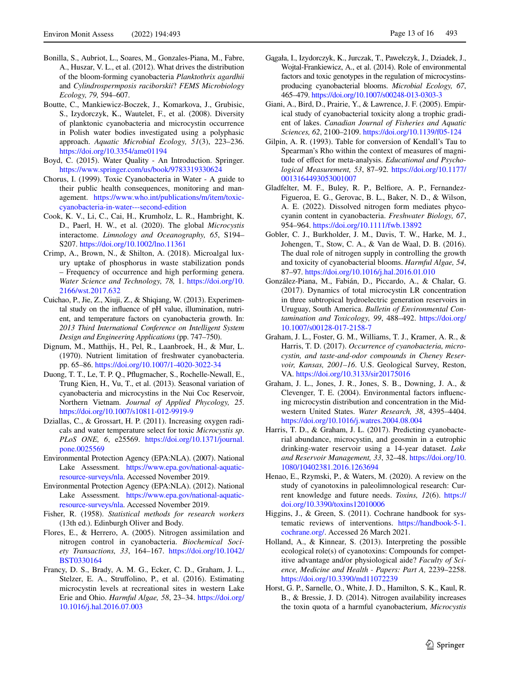- <span id="page-12-18"></span>Bonilla, S., Aubriot, L., Soares, M., Gonzales-Piana, M., Fabre, A., Huszar, V. L., et al. (2012). What drives the distribution of the bloom-forming cyanobacteria *Planktothrix agardhii* and *Cylindrospermposis raciborskii*? *FEMS Microbiology Ecology, 79,* 594–607.
- <span id="page-12-16"></span>Boutte, C., Mankiewicz-Boczek, J., Komarkova, J., Grubisic, S., Izydorczyk, K., Wautelet, F., et al. (2008). Diversity of planktonic cyanobacteria and microcystin occurrence in Polish water bodies investigated using a polyphasic approach. *Aquatic Microbial Ecology, 51*(3), 223–236. <https://doi.org/10.3354/ame01194>
- <span id="page-12-26"></span>Boyd, C. (2015). Water Quality - An Introduction. Springer. <https://www.springer.com/us/book/9783319330624>
- <span id="page-12-22"></span>Chorus, I. (1999). Toxic Cyanobacteria in Water - A guide to their public health consequences, monitoring and management. [https://www.who.int/publications/m/item/toxic](https://www.who.int/publications/m/item/toxic-cyanobacteria-in-water---second-edition)[cyanobacteria-in-water---second-edition](https://www.who.int/publications/m/item/toxic-cyanobacteria-in-water---second-edition)
- <span id="page-12-19"></span>Cook, K. V., Li, C., Cai, H., Krumholz, L. R., Hambright, K. D., Paerl, H. W., et al. (2020). The global *Microcystis* interactome. *Limnology and Oceanography, 65*, S194– S207. <https://doi.org/10.1002/lno.11361>
- <span id="page-12-21"></span>Crimp, A., Brown, N., & Shilton, A. (2018). Microalgal luxury uptake of phosphorus in waste stabilization ponds – Frequency of occurrence and high performing genera. *Water Science and Technology, 78,* 1. [https://doi.org/10.](https://doi.org/10.2166/wst.2017.632) [2166/wst.2017.632](https://doi.org/10.2166/wst.2017.632)
- <span id="page-12-25"></span>Cuichao, P., Jie, Z., Xiuji, Z., & Shiqiang, W. (2013). Experimental study on the infuence of pH value, illumination, nutrient, and temperature factors on cyanobacteria growth. In: *2013 Third International Conference on Intelligent System Design and Engineering Applications* (pp. 747–750).
- <span id="page-12-20"></span>Dignum, M., Matthijs, H., Pel, R., Laanbroek, H., & Mur, L. (1970). Nutrient limitation of freshwater cyanobacteria. pp. 65–86.<https://doi.org/10.1007/1-4020-3022-34>
- <span id="page-12-2"></span>Duong, T. T., Le, T. P. Q., Pfugmacher, S., Rochelle-Newall, E., Trung Kien, H., Vu, T., et al. (2013). Seasonal variation of cyanobacteria and microcystins in the Nui Coc Reservoir, Northern Vietnam. *Journal of Applied Phycology, 25*. <https://doi.org/10.1007/s10811-012-9919-9>
- <span id="page-12-17"></span>Dziallas, C., & Grossart, H. P. (2011). Increasing oxygen radicals and water temperature select for toxic *Microcystis sp*. *PLoS ONE, 6*, e25569. [https://doi.org/10.1371/journal.](https://doi.org/10.1371/journal.pone.0025569) [pone.0025569](https://doi.org/10.1371/journal.pone.0025569)
- <span id="page-12-6"></span>Environmental Protection Agency (EPA:NLA). (2007). National Lake Assessment. [https://www.epa.gov/national-aquatic](https://www.epa.gov/national-aquatic-resource-surveys/nla)[resource-surveys/nla](https://www.epa.gov/national-aquatic-resource-surveys/nla). Accessed November 2019.
- <span id="page-12-7"></span>Environmental Protection Agency (EPA:NLA). (2012). National Lake Assessment. [https://www.epa.gov/national-aquatic](https://www.epa.gov/national-aquatic-resource-surveys/nla)[resource-surveys/nla](https://www.epa.gov/national-aquatic-resource-surveys/nla). Accessed November 2019.
- <span id="page-12-9"></span>Fisher, R. (1958). *Statistical methods for research workers* (13th ed.). Edinburgh Oliver and Body.
- <span id="page-12-23"></span>Flores, E., & Herrero, A. (2005). Nitrogen assimilation and nitrogen control in cyanobacteria. *Biochemical Society Transactions, 33*, 164–167. [https://doi.org/10.1042/](https://doi.org/10.1042/BST0330164) [BST0330164](https://doi.org/10.1042/BST0330164)
- <span id="page-12-5"></span>Francy, D. S., Brady, A. M. G., Ecker, C. D., Graham, J. L., Stelzer, E. A., Strufolino, P., et al. (2016). Estimating microcystin levels at recreational sites in western Lake Erie and Ohio. *Harmful Algae, 58*, 23–34. [https://doi.org/](https://doi.org/10.1016/j.hal.2016.07.003) [10.1016/j.hal.2016.07.003](https://doi.org/10.1016/j.hal.2016.07.003)
- <span id="page-12-12"></span>Gągała, I., Izydorczyk, K., Jurczak, T., Pawełczyk, J., Dziadek, J., Wojtal-Frankiewicz, A., et al. (2014). Role of environmental factors and toxic genotypes in the regulation of microcystinsproducing cyanobacterial blooms. *Microbial Ecology, 67*, 465–479.<https://doi.org/10.1007/s00248-013-0303-3>
- <span id="page-12-4"></span>Giani, A., Bird, D., Prairie, Y., & Lawrence, J. F. (2005). Empirical study of cyanobacterial toxicity along a trophic gradient of lakes. *Canadian Journal of Fisheries and Aquatic Sciences, 62*, 2100–2109. <https://doi.org/10.1139/f05-124>
- <span id="page-12-11"></span>Gilpin, A. R. (1993). Table for conversion of Kendall's Tau to Spearman's Rho within the context of measures of magnitude of efect for meta-analysis. *Educational and Psychological Measurement, 53*, 87–92. [https://doi.org/10.1177/](https://doi.org/10.1177/0013164493053001007) [0013164493053001007](https://doi.org/10.1177/0013164493053001007)
- <span id="page-12-24"></span>Gladfelter, M. F., Buley, R. P., Belfore, A. P., Fernandez-Figueroa, E. G., Gerovac, B. L., Baker, N. D., & Wilson, A. E. (2022). Dissolved nitrogen form mediates phycocyanin content in cyanobacteria. *Freshwater Biology, 67*, 954–964. <https://doi.org/10.1111/fwb.13892>
- <span id="page-12-27"></span>Gobler, C. J., Burkholder, J. M., Davis, T. W., Harke, M. J., Johengen, T., Stow, C. A., & Van de Waal, D. B. (2016). The dual role of nitrogen supply in controlling the growth and toxicity of cyanobacterial blooms. *Harmful Algae, 54*, 87–97.<https://doi.org/10.1016/j.hal.2016.01.010>
- <span id="page-12-3"></span>González-Piana, M., Fabián, D., Piccardo, A., & Chalar, G. (2017). Dynamics of total microcystin LR concentration in three subtropical hydroelectric generation reservoirs in Uruguay, South America. *Bulletin of Environmental Contamination and Toxicology, 99*, 488–492. [https://doi.org/](https://doi.org/10.1007/s00128-017-2158-7) [10.1007/s00128-017-2158-7](https://doi.org/10.1007/s00128-017-2158-7)
- <span id="page-12-1"></span>Graham, J. L., Foster, G. M., Williams, T. J., Kramer, A. R., & Harris, T. D. (2017). *Occurrence of cyanobacteria, microcystin, and taste-and-odor compounds in Cheney Reservoir, Kansas, 2001–16*. U.S. Geological Survey, Reston, VA. <https://doi.org/10.3133/sir20175016>
- <span id="page-12-0"></span>Graham, J. L., Jones, J. R., Jones, S. B., Downing, J. A., & Clevenger, T. E. (2004). Environmental factors infuencing microcystin distribution and concentration in the Midwestern United States. *Water Research, 38*, 4395–4404. <https://doi.org/10.1016/j.watres.2004.08.004>
- <span id="page-12-8"></span>Harris, T. D., & Graham, J. L. (2017). Predicting cyanobacterial abundance, microcystin, and geosmin in a eutrophic drinking-water reservoir using a 14-year dataset. *Lake and Reservoir Management, 33*, 32–48. [https://doi.org/10.](https://doi.org/10.1080/10402381.2016.1263694) [1080/10402381.2016.1263694](https://doi.org/10.1080/10402381.2016.1263694)
- <span id="page-12-13"></span>Henao, E., Rzymski, P., & Waters, M. (2020). A review on the study of cyanotoxins in paleolimnological research: Current knowledge and future needs. *Toxins, 12*(6). [https://](https://doi.org/10.3390/toxins12010006) [doi.org/10.3390/toxins12010006](https://doi.org/10.3390/toxins12010006)
- <span id="page-12-10"></span>Higgins, J., & Green, S. (2011). Cochrane handbook for systematic reviews of interventions. [https://handbook-5-1.](https://handbook-5-1.cochrane.org/) [cochrane.org/](https://handbook-5-1.cochrane.org/). Accessed 26 March 2021.
- <span id="page-12-14"></span>Holland, A., & Kinnear, S. (2013). Interpreting the possible ecological role(s) of cyanotoxins: Compounds for competitive advantage and/or physiological aide? *Faculty of Science, Medicine and Health - Papers: Part A,* 2239–2258. <https://doi.org/10.3390/md11072239>
- <span id="page-12-15"></span>Horst, G. P., Sarnelle, O., White, J. D., Hamilton, S. K., Kaul, R. B., & Bressie, J. D. (2014). Nitrogen availability increases the toxin quota of a harmful cyanobacterium, *Microcystis*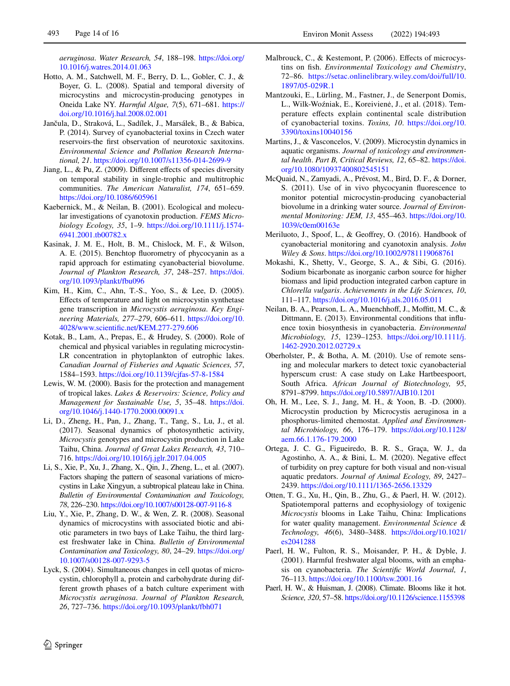*aeruginosa*. *Water Research, 54*, 188–198. [https://doi.org/](https://doi.org/10.1016/j.watres.2014.01.063) [10.1016/j.watres.2014.01.063](https://doi.org/10.1016/j.watres.2014.01.063)

- <span id="page-13-22"></span>Hotto, A. M., Satchwell, M. F., Berry, D. L., Gobler, C. J., & Boyer, G. L. (2008). Spatial and temporal diversity of microcystins and microcystin-producing genotypes in Oneida Lake NY. *Harmful Algae, 7*(5), 671–681. [https://](https://doi.org/10.1016/j.hal.2008.02.001) [doi.org/10.1016/j.hal.2008.02.001](https://doi.org/10.1016/j.hal.2008.02.001)
- <span id="page-13-11"></span>Jančula, D., Straková, L., Sadílek, J., Marsálek, B., & Babica, P. (2014). Survey of cyanobacterial toxins in Czech water reservoirs-the frst observation of neurotoxic saxitoxins. *Environmental Science and Pollution Research International, 21*. <https://doi.org/10.1007/s11356-014-2699-9>
- <span id="page-13-8"></span>Jiang, L., & Pu, Z. (2009). Diferent efects of species diversity on temporal stability in single-trophic and multitrophic communities. *The American Naturalist, 174*, 651–659. <https://doi.org/10.1086/605961>
- <span id="page-13-13"></span>Kaebernick, M., & Neilan, B. (2001). Ecological and molecular investigations of cyanotoxin production. *FEMS Microbiology Ecology, 35*, 1–9. [https://doi.org/10.1111/j.1574-](https://doi.org/10.1111/j.1574-6941.2001.tb00782.x) [6941.2001.tb00782.x](https://doi.org/10.1111/j.1574-6941.2001.tb00782.x)
- <span id="page-13-18"></span>Kasinak, J. M. E., Holt, B. M., Chislock, M. F., & Wilson, A. E. (2015). Benchtop fuorometry of phycocyanin as a rapid approach for estimating cyanobacterial biovolume. *Journal of Plankton Research, 37*, 248–257. [https://doi.](https://doi.org/10.1093/plankt/fbu096) [org/10.1093/plankt/fbu096](https://doi.org/10.1093/plankt/fbu096)
- <span id="page-13-17"></span>Kim, H., Kim, C., Ahn, T.-S., Yoo, S., & Lee, D. (2005). Efects of temperature and light on microcystin synthetase gene transcription in *Microcystis aeruginosa*. *Key Engineering Materials, 277–279*, 606–611. [https://doi.org/10.](https://doi.org/10.4028/www.scientific.net/KEM.277-279.606) [4028/www.scientifc.net/KEM.277-279.606](https://doi.org/10.4028/www.scientific.net/KEM.277-279.606)
- <span id="page-13-4"></span>Kotak, B., Lam, A., Prepas, E., & Hrudey, S. (2000). Role of chemical and physical variables in regulating microcystin-LR concentration in phytoplankton of eutrophic lakes. *Canadian Journal of Fisheries and Aquatic Sciences, 57*, 1584–1593.<https://doi.org/10.1139/cjfas-57-8-1584>
- <span id="page-13-12"></span>Lewis, W. M. (2000). Basis for the protection and management of tropical lakes. *Lakes & Reservoirs: Science, Policy and Management for Sustainable Use, 5*, 35–48. [https://doi.](https://doi.org/10.1046/j.1440-1770.2000.00091.x) [org/10.1046/j.1440-1770.2000.00091.x](https://doi.org/10.1046/j.1440-1770.2000.00091.x)
- <span id="page-13-5"></span>Li, D., Zheng, H., Pan, J., Zhang, T., Tang, S., Lu, J., et al. (2017). Seasonal dynamics of photosynthetic activity, *Microcystis* genotypes and microcystin production in Lake Taihu, China. *Journal of Great Lakes Research, 43*, 710– 716. <https://doi.org/10.1016/j.jglr.2017.04.005>
- <span id="page-13-6"></span>Li, S., Xie, P., Xu, J., Zhang, X., Qin, J., Zheng, L., et al. (2007). Factors shaping the pattern of seasonal variations of microcystins in Lake Xingyun, a subtropical plateau lake in China. *Bulletin of Environmental Contamination and Toxicology, 78*, 226–230.<https://doi.org/10.1007/s00128-007-9116-8>
- <span id="page-13-7"></span>Liu, Y., Xie, P., Zhang, D. W., & Wen, Z. R. (2008). Seasonal dynamics of microcystins with associated biotic and abiotic parameters in two bays of Lake Taihu, the third largest freshwater lake in China. *Bulletin of Environmental Contamination and Toxicology, 80*, 24–29. [https://doi.org/](https://doi.org/10.1007/s00128-007-9293-5) [10.1007/s00128-007-9293-5](https://doi.org/10.1007/s00128-007-9293-5)
- <span id="page-13-14"></span>Lyck, S. (2004). Simultaneous changes in cell quotas of microcystin, chlorophyll a, protein and carbohydrate during different growth phases of a batch culture experiment with *Microcystis aeruginosa*. *Journal of Plankton Research, 26*, 727–736. <https://doi.org/10.1093/plankt/fbh071>
- <span id="page-13-1"></span>Malbrouck, C., & Kestemont, P. (2006). Effects of microcystins on fsh. *Environmental Toxicology and Chemistry*, 72–86. [https://setac.onlinelibrary.wiley.com/doi/full/10.](https://setac.onlinelibrary.wiley.com/doi/full/10.1897/05-029R.1) [1897/05-029R.1](https://setac.onlinelibrary.wiley.com/doi/full/10.1897/05-029R.1)
- <span id="page-13-10"></span>Mantzouki, E., Lürling, M., Fastner, J., de Senerpont Domis, L., Wilk-Woźniak, E., Koreivienė, J., et al. (2018). Temperature efects explain continental scale distribution of cyanobacterial toxins. *Toxins, 10*. [https://doi.org/10.](https://doi.org/10.3390/toxins10040156) [3390/toxins10040156](https://doi.org/10.3390/toxins10040156)
- <span id="page-13-2"></span>Martins, J., & Vasconcelos, V. (2009). Microcystin dynamics in aquatic organisms. *Journal of toxicology and environmental health*. *Part B, Critical Reviews, 12*, 65–82. [https://doi.](https://doi.org/10.1080/10937400802545151) [org/10.1080/10937400802545151](https://doi.org/10.1080/10937400802545151)
- <span id="page-13-19"></span>McQuaid, N., Zamyadi, A., Prévost, M., Bird, D. F., & Dorner, S. (2011). Use of in vivo phycocyanin fuorescence to monitor potential microcystin-producing cyanobacterial biovolume in a drinking water source. *Journal of Environmental Monitoring: JEM, 13*, 455–463. [https://doi.org/10.](https://doi.org/10.1039/c0em00163e) [1039/c0em00163e](https://doi.org/10.1039/c0em00163e)
- <span id="page-13-3"></span>Meriluoto, J., Spoof, L., & Geofrey, O. (2016). Handbook of cyanobacterial monitoring and cyanotoxin analysis. *John Wiley & Sons*.<https://doi.org/10.1002/9781119068761>
- <span id="page-13-23"></span>Mokashi, K., Shetty, V., George, S. A., & Sibi, G. (2016). Sodium bicarbonate as inorganic carbon source for higher biomass and lipid production integrated carbon capture in *Chlorella vulgaris*. *Achievements in the Life Sciences, 10*, 111–117. <https://doi.org/10.1016/j.als.2016.05.011>
- <span id="page-13-15"></span>Neilan, B. A., Pearson, L. A., Muenchhoff, J., Moffitt, M. C., & Dittmann, E. (2013). Environmental conditions that infuence toxin biosynthesis in cyanobacteria. *Environmental Microbiology, 15*, 1239–1253. [https://doi.org/10.1111/j.](https://doi.org/10.1111/j.1462-2920.2012.02729.x) [1462-2920.2012.02729.x](https://doi.org/10.1111/j.1462-2920.2012.02729.x)
- <span id="page-13-21"></span>Oberholster, P., & Botha, A. M. (2010). Use of remote sensing and molecular markers to detect toxic cyanobacterial hyperscum crust: A case study on Lake Hartbeespoort, South Africa. *African Journal of Biotechnology, 95*, 8791–8799.<https://doi.org/10.5897/AJB10.1201>
- <span id="page-13-20"></span>Oh, H. M., Lee, S. J., Jang, M. H., & Yoon, B. -D. (2000). Microcystin production by Microcystis aeruginosa in a phosphorus-limited chemostat. *Applied and Environmental Microbiology, 66*, 176–179. [https://doi.org/10.1128/](https://doi.org/10.1128/aem.66.1.176-179.2000) [aem.66.1.176-179.2000](https://doi.org/10.1128/aem.66.1.176-179.2000)
- <span id="page-13-9"></span>Ortega, J. C. G., Figueiredo, B. R. S., Graça, W. J., da Agostinho, A. A., & Bini, L. M. (2020). Negative efect of turbidity on prey capture for both visual and non-visual aquatic predators. *Journal of Animal Ecology, 89*, 2427– 2439.<https://doi.org/10.1111/1365-2656.13329>
- <span id="page-13-24"></span>Otten, T. G., Xu, H., Qin, B., Zhu, G., & Paerl, H. W. (2012). Spatiotemporal patterns and ecophysiology of toxigenic *Microcystis* blooms in Lake Taihu, China: Implications for water quality management. *Environmental Science & Technology, 46*(6), 3480–3488. [https://doi.org/10.1021/](https://doi.org/10.1021/es2041288) [es2041288](https://doi.org/10.1021/es2041288)
- <span id="page-13-0"></span>Paerl, H. W., Fulton, R. S., Moisander, P. H., & Dyble, J. (2001). Harmful freshwater algal blooms, with an emphasis on cyanobacteria. *The Scientifc World Journal, 1*, 76–113. <https://doi.org/10.1100/tsw.2001.16>
- <span id="page-13-16"></span>Paerl, H. W., & Huisman, J. (2008). Climate. Blooms like it hot. *Science, 320*, 57–58.<https://doi.org/10.1126/science.1155398>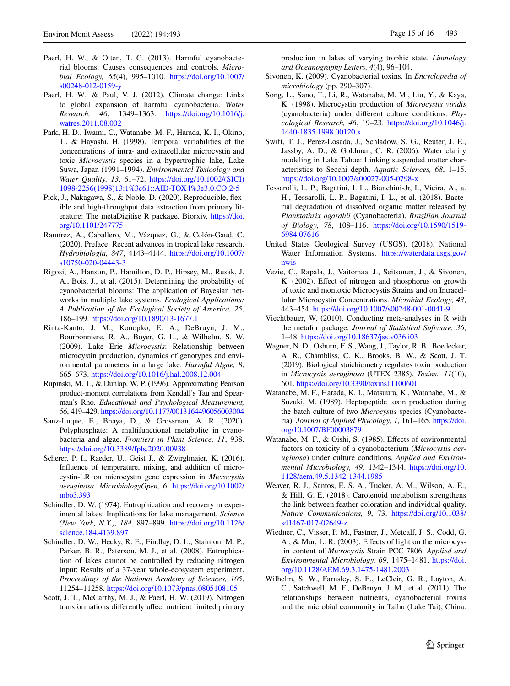- <span id="page-14-0"></span>Paerl, H. W., & Otten, T. G. (2013). Harmful cyanobacterial blooms: Causes consequences and controls. *Microbial Ecology, 65*(4), 995–1010. [https://doi.org/10.1007/](https://doi.org/10.1007/s00248-012-0159-y) [s00248-012-0159-y](https://doi.org/10.1007/s00248-012-0159-y)
- <span id="page-14-2"></span>Paerl, H. W., & Paul, V. J. (2012). Climate change: Links to global expansion of harmful cyanobacteria. *Water Research, 46*, 1349–1363. [https://doi.org/10.1016/j.](https://doi.org/10.1016/j.watres.2011.08.002) [watres.2011.08.002](https://doi.org/10.1016/j.watres.2011.08.002)
- <span id="page-14-25"></span>Park, H. D., Iwami, C., Watanabe, M. F., Harada, K. I., Okino, T., & Hayashi, H. (1998). Temporal variabilities of the concentrations of intra- and extracellular microcystin and toxic *Microcystis* species in a hypertrophic lake, Lake Suwa, Japan (1991–1994). *Environmental Toxicology and Water Quality, 13*, 61–72. [https://doi.org/10.1002/\(SICI\)](https://doi.org/10.1002/(SICI)1098-2256(1998)13:1%3c61::AID-TOX4%3e3.0.CO;2-5) [1098-2256\(1998\)13:1%3c61::AID-TOX4%3e3.0.CO;2-5](https://doi.org/10.1002/(SICI)1098-2256(1998)13:1%3c61::AID-TOX4%3e3.0.CO;2-5)
- <span id="page-14-4"></span>Pick, J., Nakagawa, S., & Noble, D. (2020). Reproducible, fexible and high-throughput data extraction from primary literature: The metaDigitise R package. Biorxiv. [https://doi.](https://doi.org/10.1101/247775) [org/10.1101/247775](https://doi.org/10.1101/247775)
- <span id="page-14-8"></span>Ramírez, A., Caballero, M., Vázquez, G., & Colón-Gaud, C. (2020). Preface: Recent advances in tropical lake research. *Hydrobiologia, 847*, 4143–4144. [https://doi.org/10.1007/](https://doi.org/10.1007/s10750-020-04443-3) [s10750-020-04443-3](https://doi.org/10.1007/s10750-020-04443-3)
- <span id="page-14-12"></span>Rigosi, A., Hanson, P., Hamilton, D. P., Hipsey, M., Rusak, J. A., Bois, J., et al. (2015). Determining the probability of cyanobacterial blooms: The application of Bayesian networks in multiple lake systems. *Ecological Applications: A Publication of the Ecological Society of America, 25*, 186–199. <https://doi.org/10.1890/13-1677.1>
- <span id="page-14-1"></span>Rinta-Kanto, J. M., Konopko, E. A., DeBruyn, J. M., Bourbonniere, R. A., Boyer, G. L., & Wilhelm, S. W. (2009). Lake Erie *Microcystis*: Relationship between microcystin production, dynamics of genotypes and environmental parameters in a large lake. *Harmful Algae, 8*, 665–673. <https://doi.org/10.1016/j.hal.2008.12.004>
- <span id="page-14-5"></span>Rupinski, M. T., & Dunlap, W. P. (1996). Approximating Pearson product-moment correlations from Kendall's Tau and Spearman's Rho. *Educational and Psychological Measurement, 56*, 419–429.<https://doi.org/10.1177/0013164496056003004>
- <span id="page-14-20"></span>Sanz-Luque, E., Bhaya, D., & Grossman, A. R. (2020). Polyphosphate: A multifunctional metabolite in cyanobacteria and algae. *Frontiers in Plant Science, 11*, 938. <https://doi.org/10.3389/fpls.2020.00938>
- <span id="page-14-13"></span>Scherer, P. I., Raeder, U., Geist J., & Zwirglmaier, K. (2016). Infuence of temperature, mixing, and addition of microcystin-LR on microcystin gene expression in *Microcystis aeruginosa*. *MicrobiologyOpen, 6*. [https://doi.org/10.1002/](https://doi.org/10.1002/mbo3.393) [mbo3.393](https://doi.org/10.1002/mbo3.393)
- <span id="page-14-17"></span>Schindler, D. W. (1974). Eutrophication and recovery in experimental lakes: Implications for lake management. *Science (New York, N.Y.), 184*, 897–899. [https://doi.org/10.1126/](https://doi.org/10.1126/science.184.4139.897) [science.184.4139.897](https://doi.org/10.1126/science.184.4139.897)
- <span id="page-14-18"></span>Schindler, D. W., Hecky, R. E., Findlay, D. L., Stainton, M. P., Parker, B. R., Paterson, M. J., et al. (2008). Eutrophication of lakes cannot be controlled by reducing nitrogen input: Results of a 37-year whole-ecosystem experiment. *Proceedings of the National Academy of Sciences, 105*, 11254–11258. <https://doi.org/10.1073/pnas.0805108105>
- <span id="page-14-21"></span>Scott, J. T., McCarthy, M. J., & Paerl, H. W. (2019). Nitrogen transformations diferently afect nutrient limited primary

production in lakes of varying trophic state. *Limnology and Oceanography Letters, 4*(4), 96–104.

- <span id="page-14-9"></span>Sivonen, K. (2009). Cyanobacterial toxins. In *Encyclopedia of microbiology* (pp. 290–307).
- <span id="page-14-23"></span>Song, L., Sano, T., Li, R., Watanabe, M. M., Liu, Y., & Kaya, K. (1998). Microcystin production of *Microcystis viridis* (cyanobacteria) under diferent culture conditions. *Phycological Research, 46*, 19–23. [https://doi.org/10.1046/j.](https://doi.org/10.1046/j.1440-1835.1998.00120.x) [1440-1835.1998.00120.x](https://doi.org/10.1046/j.1440-1835.1998.00120.x)
- <span id="page-14-14"></span>Swift, T. J., Perez-Losada, J., Schladow, S. G., Reuter, J. E., Jassby, A. D., & Goldman, C. R. (2006). Water clarity modeling in Lake Tahoe: Linking suspended matter characteristics to Secchi depth. *Aquatic Sciences, 68*, 1–15. <https://doi.org/10.1007/s00027-005-0798-x>
- <span id="page-14-16"></span>Tessarolli, L. P., Bagatini, I. L., Bianchini-Jr, I., Vieira, A., a. H., Tessarolli, L. P., Bagatini, I. L., et al. (2018). Bacterial degradation of dissolved organic matter released by *Planktothrix agardhii* (Cyanobacteria). *Brazilian Journal of Biology, 78*, 108–116. [https://doi.org/10.1590/1519-](https://doi.org/10.1590/1519-6984.07616) [6984.07616](https://doi.org/10.1590/1519-6984.07616)
- <span id="page-14-3"></span>United States Geological Survey (USGS). (2018). National Water Information Systems. [https://waterdata.usgs.gov/](https://waterdata.usgs.gov/nwis) [nwis](https://waterdata.usgs.gov/nwis)
- <span id="page-14-19"></span>Vezie, C., Rapala, J., Vaitomaa, J., Seitsonen, J., & Sivonen, K. (2002). Efect of nitrogen and phosphorus on growth of toxic and montoxic Microcystis Strains and on Intracellular Microcystin Concentrations. *Microbial Ecology, 43*, 443–454. <https://doi.org/10.1007/s00248-001-0041-9>
- <span id="page-14-7"></span>Viechtbauer, W. (2010). Conducting meta-analyses in R with the metafor package. *Journal of Statistical Software, 36*, 1–48.<https://doi.org/10.18637/jss.v036.i03>
- <span id="page-14-22"></span>Wagner, N. D., Osburn, F. S., Wang, J., Taylor, R. B., Boedecker, A. R., Chambliss, C. K., Brooks, B. W., & Scott, J. T. (2019). Biological stoichiometry regulates toxin production in *Microcystis aeruginosa* (UTEX 2385). *Toxins., 11*(10), 601.<https://doi.org/10.3390/toxins11100601>
- <span id="page-14-11"></span>Watanabe, M. F., Harada, K. I., Matsuura, K., Watanabe, M., & Suzuki, M. (1989). Heptapeptide toxin production during the batch culture of two *Microcystis* species (Cyanobacteria). *Journal of Applied Phycology, 1*, 161–165. [https://doi.](https://doi.org/10.1007/BF00003879) [org/10.1007/BF00003879](https://doi.org/10.1007/BF00003879)
- <span id="page-14-24"></span>Watanabe, M. F., & Oishi, S. (1985). Efects of environmental factors on toxicity of a cyanobacterium (*Microcystis aeruginosa*) under culture conditions. *Applied and Environmental Microbiology, 49*, 1342–1344. [https://doi.org/10.](https://doi.org/10.1128/aem.49.5.1342-1344.1985) [1128/aem.49.5.1342-1344.1985](https://doi.org/10.1128/aem.49.5.1342-1344.1985)
- <span id="page-14-6"></span>Weaver, R. J., Santos, E. S. A., Tucker, A. M., Wilson, A. E., & Hill, G. E. (2018). Carotenoid metabolism strengthens the link between feather coloration and individual quality. *Nature Communications, 9*, 73. [https://doi.org/10.1038/](https://doi.org/10.1038/s41467-017-02649-z) [s41467-017-02649-z](https://doi.org/10.1038/s41467-017-02649-z)
- <span id="page-14-10"></span>Wiedner, C., Visser, P. M., Fastner, J., Metcalf, J. S., Codd, G. A., & Mur, L. R. (2003). Effects of light on the microcystin content of *Microcystis* Strain PCC 7806. *Applied and Environmental Microbiology, 69*, 1475–1481. [https://doi.](https://doi.org/10.1128/AEM.69.3.1475-1481.2003) [org/10.1128/AEM.69.3.1475-1481.2003](https://doi.org/10.1128/AEM.69.3.1475-1481.2003)
- <span id="page-14-15"></span>Wilhelm, S. W., Farnsley, S. E., LeCleir, G. R., Layton, A. C., Satchwell, M. F., DeBruyn, J. M., et al. (2011). The relationships between nutrients, cyanobacterial toxins and the microbial community in Taihu (Lake Tai), China.